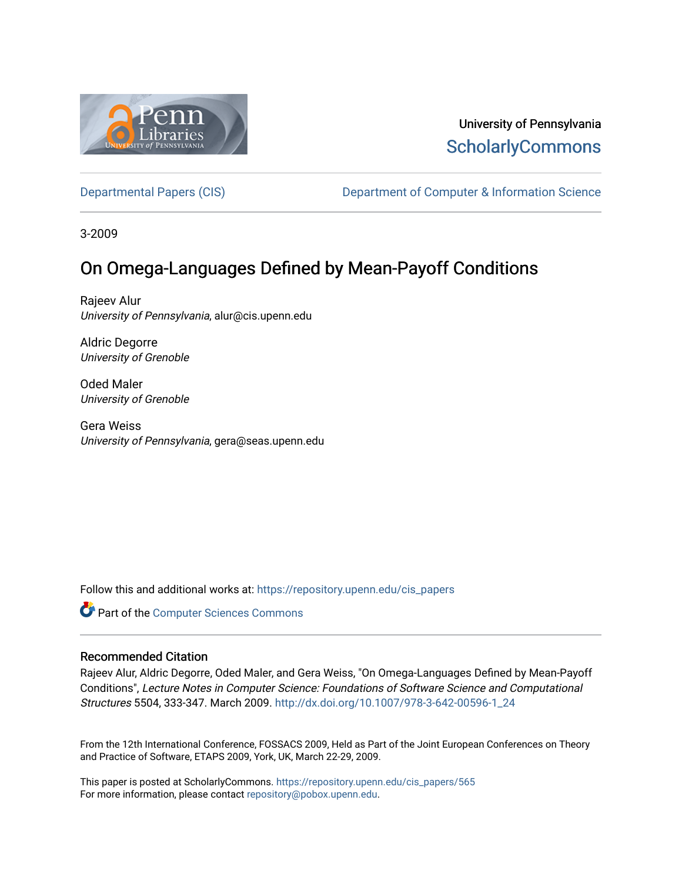

University of Pennsylvania **ScholarlyCommons** 

[Departmental Papers \(CIS\)](https://repository.upenn.edu/cis_papers) Department of Computer & Information Science

3-2009

# On Omega-Languages Defined by Mean-Payoff Conditions

Rajeev Alur University of Pennsylvania, alur@cis.upenn.edu

Aldric Degorre University of Grenoble

Oded Maler University of Grenoble

Gera Weiss University of Pennsylvania, gera@seas.upenn.edu

Follow this and additional works at: [https://repository.upenn.edu/cis\\_papers](https://repository.upenn.edu/cis_papers?utm_source=repository.upenn.edu%2Fcis_papers%2F565&utm_medium=PDF&utm_campaign=PDFCoverPages)



## Recommended Citation

Rajeev Alur, Aldric Degorre, Oded Maler, and Gera Weiss, "On Omega-Languages Defined by Mean-Payoff Conditions", Lecture Notes in Computer Science: Foundations of Software Science and Computational Structures 5504, 333-347. March 2009. [http://dx.doi.org/10.1007/978-3-642-00596-1\\_24](http://dx.doi.org/10.1007/978-3-642-00596-1_24) 

From the 12th International Conference, FOSSACS 2009, Held as Part of the Joint European Conferences on Theory and Practice of Software, ETAPS 2009, York, UK, March 22-29, 2009.

This paper is posted at ScholarlyCommons. [https://repository.upenn.edu/cis\\_papers/565](https://repository.upenn.edu/cis_papers/565)  For more information, please contact [repository@pobox.upenn.edu.](mailto:repository@pobox.upenn.edu)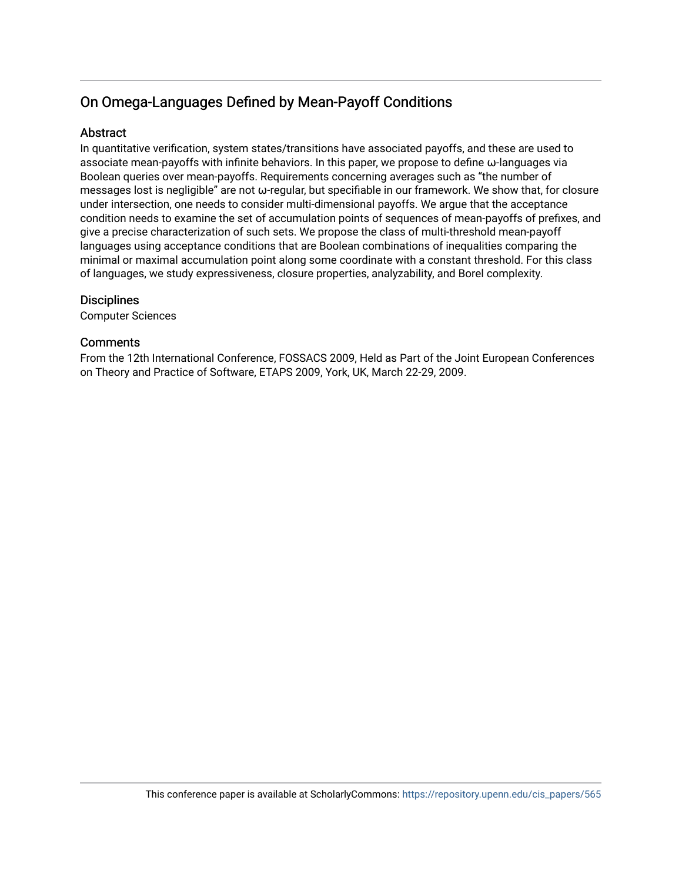## On Omega-Languages Defined by Mean-Payoff Conditions

## **Abstract**

In quantitative verification, system states/transitions have associated payoffs, and these are used to associate mean-payoffs with infinite behaviors. In this paper, we propose to define ω-languages via Boolean queries over mean-payoffs. Requirements concerning averages such as "the number of messages lost is negligible" are not ω-regular, but specifiable in our framework. We show that, for closure under intersection, one needs to consider multi-dimensional payoffs. We argue that the acceptance condition needs to examine the set of accumulation points of sequences of mean-payoffs of prefixes, and give a precise characterization of such sets. We propose the class of multi-threshold mean-payoff languages using acceptance conditions that are Boolean combinations of inequalities comparing the minimal or maximal accumulation point along some coordinate with a constant threshold. For this class of languages, we study expressiveness, closure properties, analyzability, and Borel complexity.

## **Disciplines**

Computer Sciences

## **Comments**

From the 12th International Conference, FOSSACS 2009, Held as Part of the Joint European Conferences on Theory and Practice of Software, ETAPS 2009, York, UK, March 22-29, 2009.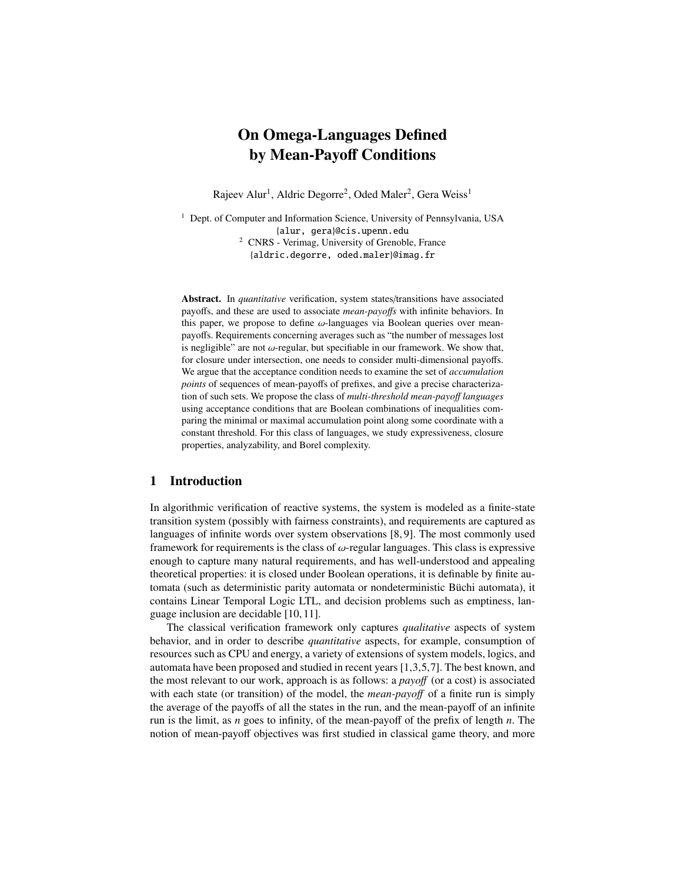## On Omega-Languages Defined by Mean-Payoff Conditions

Rajeev Alur<sup>1</sup>, Aldric Degorre<sup>2</sup>, Oded Maler<sup>2</sup>, Gera Weiss<sup>1</sup>

<sup>1</sup> Dept. of Computer and Information Science, University of Pennsylvania, USA {alur, gera}@cis.upenn.edu

> <sup>2</sup> CNRS - Verimag, University of Grenoble, France {aldric.degorre, oded.maler}@imag.fr

Abstract. In *quantitative* verification, system states/transitions have associated payoffs, and these are used to associate *mean-payo*ff*s* with infinite behaviors. In this paper, we propose to define  $\omega$ -languages via Boolean queries over meanpayoffs. Requirements concerning averages such as "the number of messages lost is negligible" are not  $\omega$ -regular, but specifiable in our framework. We show that, for closure under intersection, one needs to consider multi-dimensional payoffs. We argue that the acceptance condition needs to examine the set of *accumulation points* of sequences of mean-payoffs of prefixes, and give a precise characterization of such sets. We propose the class of *multi-threshold mean-payo*ff *languages* using acceptance conditions that are Boolean combinations of inequalities comparing the minimal or maximal accumulation point along some coordinate with a constant threshold. For this class of languages, we study expressiveness, closure properties, analyzability, and Borel complexity.

### 1 Introduction

In algorithmic verification of reactive systems, the system is modeled as a finite-state transition system (possibly with fairness constraints), and requirements are captured as languages of infinite words over system observations [8, 9]. The most commonly used framework for requirements is the class of  $\omega$ -regular languages. This class is expressive enough to capture many natural requirements, and has well-understood and appealing theoretical properties: it is closed under Boolean operations, it is definable by finite automata (such as deterministic parity automata or nondeterministic Büchi automata), it contains Linear Temporal Logic LTL, and decision problems such as emptiness, language inclusion are decidable [10, 11].

The classical verification framework only captures *qualitative* aspects of system behavior, and in order to describe *quantitative* aspects, for example, consumption of resources such as CPU and energy, a variety of extensions of system models, logics, and automata have been proposed and studied in recent years [1,3,5,7]. The best known, and the most relevant to our work, approach is as follows: a *payo*ff (or a cost) is associated with each state (or transition) of the model, the *mean-payo*ff of a finite run is simply the average of the payoffs of all the states in the run, and the mean-payoff of an infinite run is the limit, as *n* goes to infinity, of the mean-payoff of the prefix of length *n*. The notion of mean-payoff objectives was first studied in classical game theory, and more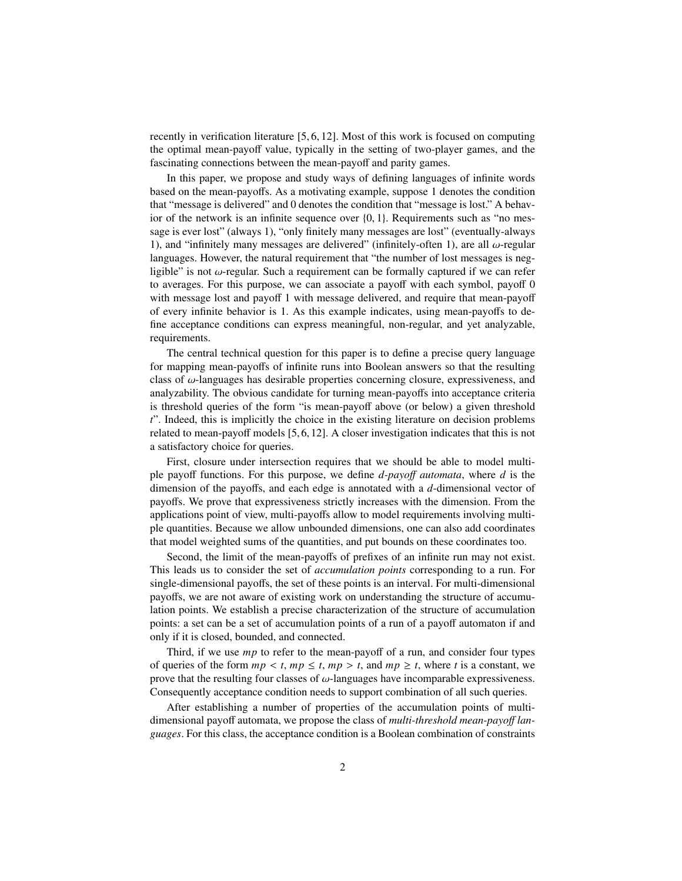recently in verification literature [5, 6, 12]. Most of this work is focused on computing the optimal mean-payoff value, typically in the setting of two-player games, and the fascinating connections between the mean-payoff and parity games.

In this paper, we propose and study ways of defining languages of infinite words based on the mean-payoffs. As a motivating example, suppose 1 denotes the condition that "message is delivered" and 0 denotes the condition that "message is lost." A behavior of the network is an infinite sequence over {0, <sup>1</sup>}. Requirements such as "no message is ever lost" (always 1), "only finitely many messages are lost" (eventually-always 1), and "infinitely many messages are delivered" (infinitely-often 1), are all  $\omega$ -regular languages. However, the natural requirement that "the number of lost messages is negligible" is not  $\omega$ -regular. Such a requirement can be formally captured if we can refer to averages. For this purpose, we can associate a payoff with each symbol, payoff 0 with message lost and payoff 1 with message delivered, and require that mean-payoff of every infinite behavior is 1. As this example indicates, using mean-payoffs to define acceptance conditions can express meaningful, non-regular, and yet analyzable, requirements.

The central technical question for this paper is to define a precise query language for mapping mean-payoffs of infinite runs into Boolean answers so that the resulting class of  $\omega$ -languages has desirable properties concerning closure, expressiveness, and analyzability. The obvious candidate for turning mean-payoffs into acceptance criteria is threshold queries of the form "is mean-payoff above (or below) a given threshold *t*". Indeed, this is implicitly the choice in the existing literature on decision problems related to mean-payoff models [5, 6, 12]. A closer investigation indicates that this is not a satisfactory choice for queries.

First, closure under intersection requires that we should be able to model multiple payoff functions. For this purpose, we define *d-payo*ff *automata*, where *d* is the dimension of the payoffs, and each edge is annotated with a *d*-dimensional vector of payoffs. We prove that expressiveness strictly increases with the dimension. From the applications point of view, multi-payoffs allow to model requirements involving multiple quantities. Because we allow unbounded dimensions, one can also add coordinates that model weighted sums of the quantities, and put bounds on these coordinates too.

Second, the limit of the mean-payoffs of prefixes of an infinite run may not exist. This leads us to consider the set of *accumulation points* corresponding to a run. For single-dimensional payoffs, the set of these points is an interval. For multi-dimensional payoffs, we are not aware of existing work on understanding the structure of accumulation points. We establish a precise characterization of the structure of accumulation points: a set can be a set of accumulation points of a run of a payoff automaton if and only if it is closed, bounded, and connected.

Third, if we use *mp* to refer to the mean-payoff of a run, and consider four types of queries of the form  $mp < t$ ,  $mp \leq t$ ,  $mp > t$ , and  $mp \geq t$ , where *t* is a constant, we prove that the resulting four classes of  $\omega$ -languages have incomparable expressiveness. Consequently acceptance condition needs to support combination of all such queries.

After establishing a number of properties of the accumulation points of multidimensional payoff automata, we propose the class of *multi-threshold mean-payo*ff *languages*. For this class, the acceptance condition is a Boolean combination of constraints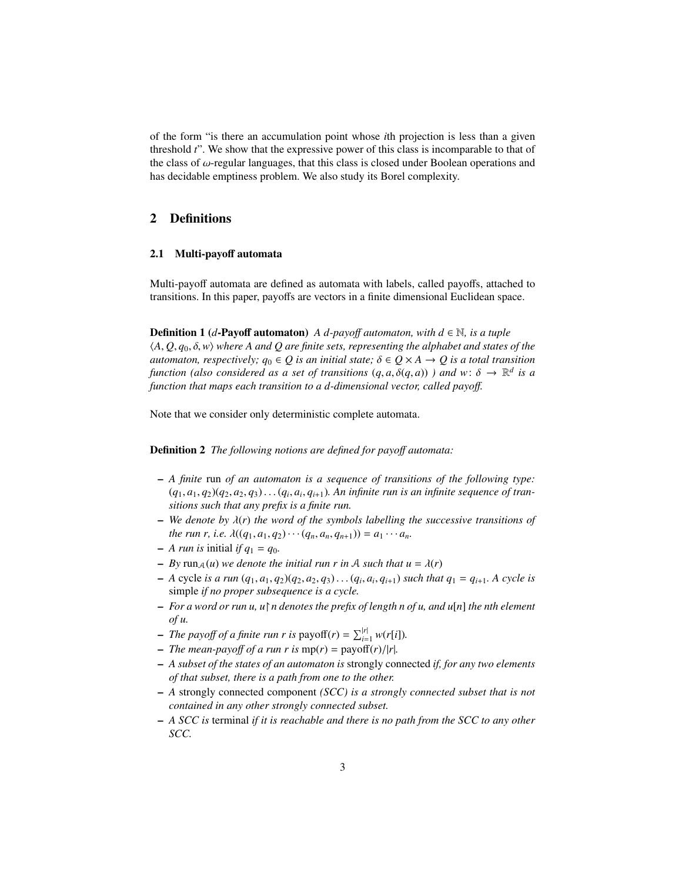of the form "is there an accumulation point whose *i*th projection is less than a given threshold *t*". We show that the expressive power of this class is incomparable to that of the class of  $\omega$ -regular languages, that this class is closed under Boolean operations and has decidable emptiness problem. We also study its Borel complexity.

#### 2 Definitions

#### 2.1 Multi-payoff automata

Multi-payoff automata are defined as automata with labels, called payoffs, attached to transitions. In this paper, payoffs are vectors in a finite dimensional Euclidean space.

**Definition 1 (***d***-Payoff automaton)** *A d-payoff automaton, with*  $d \in \mathbb{N}$ *, is a tuple*  $\langle A, O, q_0, \delta, w \rangle$  where A and O are finite sets, representing the alphabet and states of the *automaton, respectively;*  $q_0 \in Q$  *is an initial state;*  $\delta \in Q \times A \rightarrow Q$  *is a total transition function (also considered as a set of transitions*  $(q, a, \delta(q, a))$ *) and w:*  $\delta \to \mathbb{R}^d$  *is a function that mans each transition to a d-dimensional vector called navoff function that maps each transition to a d-dimensional vector, called payo*ff*.*

Note that we consider only deterministic complete automata.

Definition 2 *The following notions are defined for payo*ff *automata:*

- *A finite* run *of an automaton is a sequence of transitions of the following type:*  $(q_1, a_1, q_2)(q_2, a_2, q_3) \dots (q_i, a_i, q_{i+1})$ . An infinite run is an infinite sequence of tran-<br>sitions such that any prefix is a finite run *sitions such that any prefix is a finite run.*
- *We denote by* λ(*r*) *the word of the symbols labelling the successive transitions of the run r, i.e.*  $\lambda((q_1, a_1, q_2) \cdots (q_n, a_n, q_{n+1})) = a_1 \cdots a_n$ .
- $-$  *A run is* initial *if*  $q_1 = q_0$ .
- $-By \, \text{run}_A(u)$  *we denote the initial run r in* A *such that*  $u = \lambda(r)$
- $-$  *A* cycle is a run  $(q_1, a_1, q_2)(q_2, a_2, q_3) \dots (q_i, a_i, q_{i+1})$  such that  $q_1 = q_{i+1}$ . A cycle is simple if no proper subsequence is a cycle simple *if no proper subsequence is a cycle.*
- *For a word or run u, un denotes the prefix of length n of u, and u*[*n*] *the nth element of u.*
- *The payoff of a finite run r is payoff* $(r) = \sum_{i=1}^{|r|} w(r[i])$ .
- *The mean-payoff of a run r is*  $mp(r) = payoff(r)/|r|$ *.*
- *A subset of the states of an automaton is* strongly connected *if, for any two elements of that subset, there is a path from one to the other.*
- *A* strongly connected component *(SCC) is a strongly connected subset that is not contained in any other strongly connected subset.*
- *A SCC is* terminal *if it is reachable and there is no path from the SCC to any other SCC.*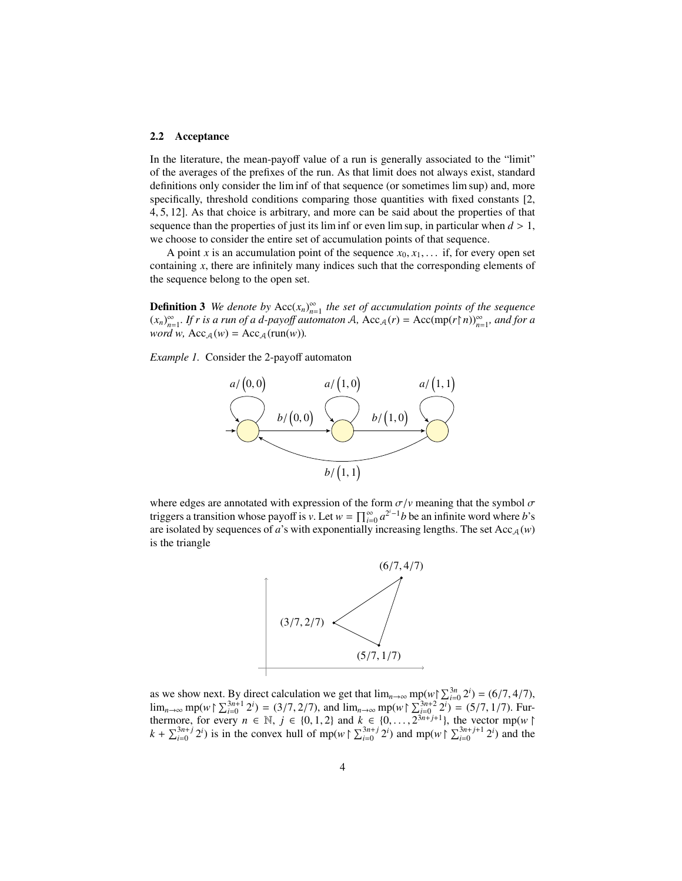#### 2.2 Acceptance

In the literature, the mean-payoff value of a run is generally associated to the "limit" of the averages of the prefixes of the run. As that limit does not always exist, standard definitions only consider the lim inf of that sequence (or sometimes lim sup) and, more specifically, threshold conditions comparing those quantities with fixed constants [2, 4, 5, 12]. As that choice is arbitrary, and more can be said about the properties of that sequence than the properties of just its lim inf or even lim sup, in particular when  $d > 1$ , we choose to consider the entire set of accumulation points of that sequence.

A point *x* is an accumulation point of the sequence  $x_0, x_1, \ldots$  if, for every open set containing *x*, there are infinitely many indices such that the corresponding elements of the sequence belong to the open set.

**Definition 3** We denote by  $Acc(x_n)_{n=1}^{\infty}$  the set of accumulation points of the sequence  $(x_n)_{n=1}^{\infty}$ . If r is a run of a d-payoff automaton A, Acc<sub>A</sub>(r) = Acc(mp(r\rn))<sub>n=1</sub>, and for a *word w,*  $Acc_A(w) = Acc_A(run(w))$ .

*Example 1.* Consider the 2-payoff automaton



where edges are annotated with expression of the form  $\sigma/\nu$  meaning that the symbol  $\sigma$  triggers a transition whose payoff is  $\nu$ . Let  $w = \prod_{i=0}^{\infty} a^{2^i-1} b$  be an infinite word where b's are isolated by sequences of *a*'s with exponentially increasing lengths. The set  $Acc_A(w)$ is the triangle



as we show next. By direct calculation we get that  $\lim_{n\to\infty} \text{mp}(w \mid \sum_{i=0}^{3n} 2^i) = (6/7, 4/7),$ <br> $\lim_{n\to\infty} \text{mp}(w \mid \sum_{i=0}^{3n+1} 2^i) = (3/7, 2/7),$  and  $\lim_{n\to\infty} \text{mp}(w \mid \sum_{i=0}^{3n+2} 2^i) = (5/7, 1/7).$  Furthermore, for e thermore, for every  $n \in \mathbb{N}$ ,  $j \in \{0, 1, 2\}$  and  $k \in \{0, ..., 2^{3n+j+1}\}$ , the vector mp( $w \upharpoonright$ <br> $k + \nabla^{3n+j} 2^{i}$ ) is in the convex hull of mp( $w \upharpoonright \nabla^{3n+j} 2^{i}$ ) and mp( $w \upharpoonright \nabla^{3n+j+1} 2^{i}$ ) and the  $k + \sum_{i=0}^{3n+j} 2^i$  is in the convex hull of mp( $w \upharpoonright \sum_{i=0}^{3n+j} 2^i$ ) and mp( $w \upharpoonright \sum_{i=0}^{3n+j+1} 2^i$ ) and the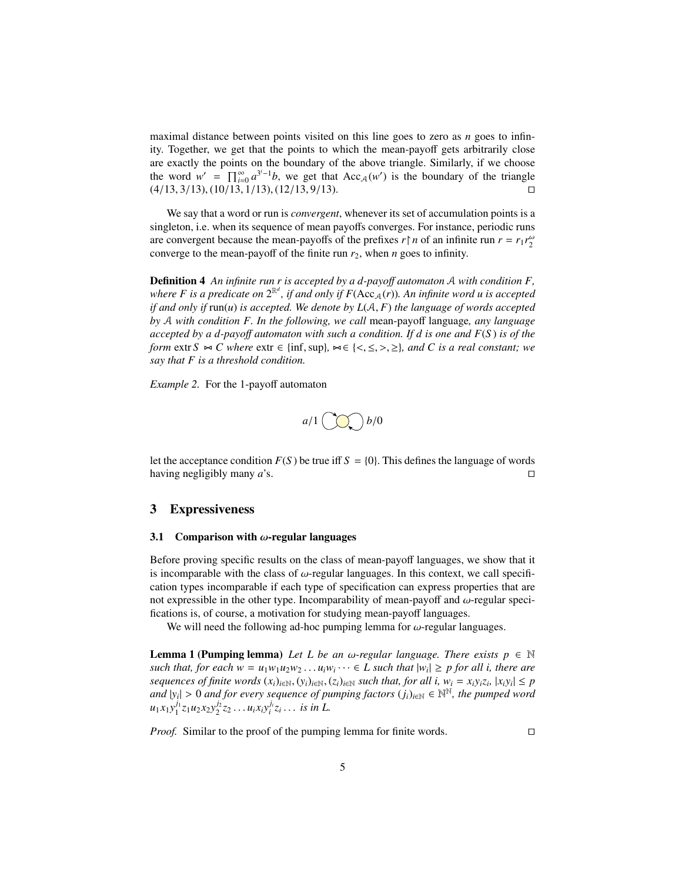maximal distance between points visited on this line goes to zero as *n* goes to infinity. Together, we get that the points to which the mean-payoff gets arbitrarily close are exactly the points on the boundary of the above triangle. Similarly, if we choose the word  $w' = \prod_{i=0}^{\infty} a^{3^i-1}b$ , we get that  $Acc_A(w')$  is the boundary of the triangle  $(4/13, 3/13), (10/13, 1/13), (12/13, 9/13).$ 

We say that a word or run is *convergent*, whenever its set of accumulation points is a singleton, i.e. when its sequence of mean payoffs converges. For instance, periodic runs are convergent because the mean-payoffs of the prefixes  $r \upharpoonright n$  of an infinite run  $r = r_1 r_2^{\omega}$ converge to the mean-payoff of the finite run  $r_2$ , when  $n$  goes to infinity.

Definition 4 *An infinite run r is accepted by a d-payo*ff *automaton* A *with condition F,* where F is a predicate on  $2^{\mathbb{R}^d}$ , if and only if  $F(\mathrm{Acc}_{\mathcal{A}}(r))$ . An infinite word u is accepted *if and only if* run(*u*) *is accepted. We denote by L*(A, *<sup>F</sup>*) *the language of words accepted by* A *with condition F. In the following, we call* mean-payoff language*, any language accepted by a d-payo*ff *automaton with such a condition. If d is one and F*(*S* ) *is of the form*  $ext{S} \Join C$  *where*  $ext{S} \in \{\text{inf}, \text{sup}\}, \Join \in \{\leq, \leq, >, \geq\}$ *, and C is a real constant; we say that F is a threshold condition.*

*Example 2.* For the 1-payoff automaton



let the acceptance condition  $F(S)$  be true iff  $S = \{0\}$ . This defines the language of words having negligibly many  $a$ 's.  $\Box$ 

#### 3 Expressiveness

#### 3.1 Comparison with  $\omega$ -regular languages

Before proving specific results on the class of mean-payoff languages, we show that it is incomparable with the class of  $\omega$ -regular languages. In this context, we call specification types incomparable if each type of specification can express properties that are not expressible in the other type. Incomparability of mean-payoff and  $\omega$ -regular specifications is, of course, a motivation for studying mean-payoff languages.

We will need the following ad-hoc pumping lemma for  $\omega$ -regular languages.

**Lemma 1 (Pumping lemma)** Let L be an  $\omega$ -regular language. There exists  $p \in \mathbb{N}$ *such that, for each w* =  $u_1w_1u_2w_2...u_iw_i... \in L$  *such that*  $|w_i| \geq p$  *for all i, there are sequences of finite words*  $(x_1) \times (x_2) \times (z_3) \times$  *such that for all i, w.*  $= x_2x_2$ ,  $|x_2| \leq p$ sequences of finite words  $(x_i)_{i \in \mathbb{N}}, (y_i)_{i \in \mathbb{N}}, (z_i)_{i \in \mathbb{N}}$  such that, for all  $i$ ,  $w_i = x_i y_i z_i$ ,  $|x_i y_i| \le p$ <br>and  $|y_i| > 0$  and for every sequence of numning factors  $(i_1)_{i \in \mathbb{N}} \in \mathbb{N}^{\mathbb{N}}$ , the numned wor *and*  $|y_i| > 0$  *and for every sequence of pumping factors*  $(j_i)_{i \in \mathbb{N}} \in \mathbb{N}^{\mathbb{N}}$ *, the pumped word*  $u_i x_i y^{j_i} z_i u_j x_j y^{j_i} z_j u_j u_j y^{j_i} z_k$  $u_1 x_1 y_1^{j_1} z_1 u_2 x_2 y_2^{j_2} z_2 \dots u_i x_i y_i^{j_i} z_i \dots$  *is in L.* 

*Proof.* Similar to the proof of the pumping lemma for finite words.  $\square$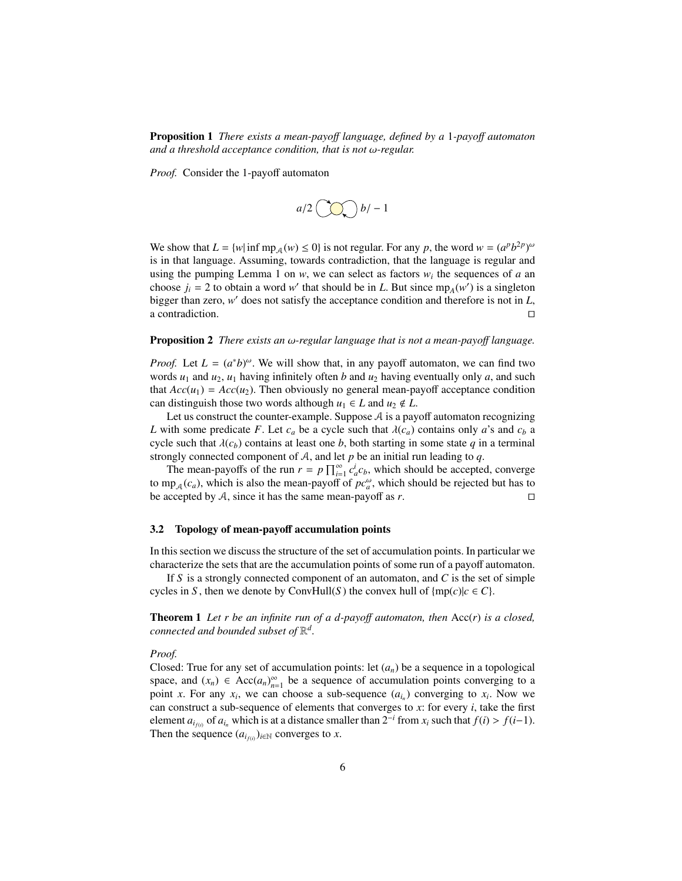Proposition 1 *There exists a mean-payo*ff *language, defined by a* 1*-payo*ff *automaton and a threshold acceptance condition, that is not* ω*-regular.*

*Proof.* Consider the 1-payoff automaton

$$
a/2\bigodot b/ -1
$$

We show that  $L = \{w | \inf \text{mp}_{\mathcal{A}}(w) \le 0\}$  is not regular. For any *p*, the word  $w = (a^p b^{2p})^{\omega}$ is in that language. Assuming, towards contradiction, that the language is regular and using the pumping Lemma 1 on  $w$ , we can select as factors  $w_i$  the sequences of  $a$  an choose  $j_i = 2$  to obtain a word w' that should be in *L*. But since  $mp_A(w')$  is a singleton bigger than zero, w' does not satisfy the acceptance condition and therefore is not in *L*, a contradiction.  $\Box$ 

#### Proposition 2 *There exists an* ω*-regular language that is not a mean-payo*ff *language.*

*Proof.* Let  $L = (a^*b)^\omega$ . We will show that, in any payoff automaton, we can find two words  $u_1$  and  $u_2$ ,  $u_1$  having infinitely often *b* and  $u_2$  having eventually only *a*, and such that  $Acc(u_1) = Acc(u_2)$ . Then obviously no general mean-payoff acceptance condition can distinguish those two words although  $u_1 \in L$  and  $u_2 \notin L$ .

Let us construct the counter-example. Suppose  $A$  is a payoff automaton recognizing *L* with some predicate *F*. Let  $c_a$  be a cycle such that  $\lambda(c_a)$  contains only *a*'s and  $c_b$  a cycle such that  $\lambda(c_b)$  contains at least one *b*, both starting in some state *q* in a terminal strongly connected component of A, and let *p* be an initial run leading to *q*.

The mean-payoffs of the run  $r = p \prod_{i=1}^{\infty} c_a^i c_b$ , which should be accepted, converge to mp<sub>*A*</sub>(*c<sub>a</sub>*), which is also the mean-payoff of  $pc<sup>\omega</sup>$ , which should be rejected but has to be accepted by  $A$ , since it has the same mean-payoff as  $r$ .

#### 3.2 Topology of mean-payoff accumulation points

In this section we discuss the structure of the set of accumulation points. In particular we characterize the sets that are the accumulation points of some run of a payoff automaton.

If *S* is a strongly connected component of an automaton, and *C* is the set of simple cycles in *S*, then we denote by ConvHull(*S*) the convex hull of  ${mp(c)|c \in C}$ .

Theorem 1 *Let r be an infinite run of a d-payo*ff *automaton, then* Acc(*r*) *is a closed, connected and bounded subset of* R *d .*

#### *Proof.*

Closed: True for any set of accumulation points: let  $(a_n)$  be a sequence in a topological space, and  $(x_n) \in Acc(a_n)_{n=1}^{\infty}$  be a sequence of accumulation points converging to a point *x*. For any  $x_i$ , we can choose a sub-sequence  $(a_{i_n})$  converging to  $x_i$ . Now we can construct a sub-sequence of elements that converges to *x*: for every *i*, take the first element  $a_{i_{f(i)}}$  of  $a_{i_n}$  which is at a distance smaller than  $2^{-i}$  from  $x_i$  such that  $f(i) > f(i-1)$ .<br>Then the sequence  $(a_{i-1})$  is converges to r Then the sequence  $(a_{i_{f(i)}})_{i \in \mathbb{N}}$  converges to *x*.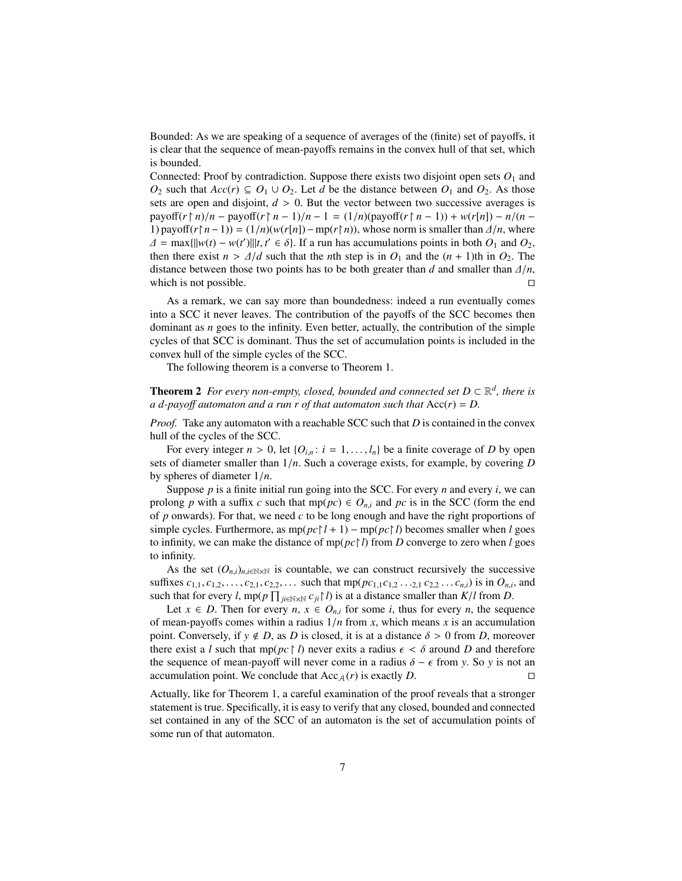Bounded: As we are speaking of a sequence of averages of the (finite) set of payoffs, it is clear that the sequence of mean-payoffs remains in the convex hull of that set, which is bounded.

Connected: Proof by contradiction. Suppose there exists two disjoint open sets  $O_1$  and *O*<sub>2</sub> such that *Acc*(*r*) ⊆ *O*<sub>1</sub> ∪ *O*<sub>2</sub>. Let *d* be the distance between *O*<sub>1</sub> and *O*<sub>2</sub>. As those sets are open and disjoint,  $d > 0$ . But the vector between two successive averages is  $p\text{avoff}(r \upharpoonright n)/n - p\text{avoff}(r \upharpoonright n - 1)/n - 1 = (1/n)(p\text{avoff}(r \upharpoonright n - 1)) + w(r \upharpoonright n) - n/(n - 1)$ 1) payoff $(r \nvert n-1)$  =  $(1/n)(w(r \nvert n) - mp(r \nvert n)$ , whose norm is smaller than  $\Delta/n$ , where  $\Delta = \max{\{|w(t) - w(t')| | t, t' \in \delta\}}$ . If a run has accumulations points in both  $O_1$  and  $O_2$ , then there exist  $n > \Delta/d$  such that the *n*th step is in  $O_2$  and the  $(n + 1)$ th in  $O_2$ . The then there exist  $n > \Delta/d$  such that the *n*th step is in  $O_1$  and the  $(n + 1)$ th in  $O_2$ . The distance between those two points has to be both greater than *d* and smaller than  $\Delta/n$ , which is not possible. which is not possible.

As a remark, we can say more than boundedness: indeed a run eventually comes into a SCC it never leaves. The contribution of the payoffs of the SCC becomes then dominant as *n* goes to the infinity. Even better, actually, the contribution of the simple cycles of that SCC is dominant. Thus the set of accumulation points is included in the convex hull of the simple cycles of the SCC.

The following theorem is a converse to Theorem 1.

### **Theorem 2** For every non-empty, closed, bounded and connected set  $D \subset \mathbb{R}^d$ , there is *a d-payo*ff *automaton and a run r of that automaton such that* Acc(*r*) = *D.*

*Proof.* Take any automaton with a reachable SCC such that *D* is contained in the convex hull of the cycles of the SCC.

For every integer  $n > 0$ , let  $\{O_{i,n}: i = 1, \ldots, l_n\}$  be a finite coverage of *D* by open sets of diameter smaller than 1/*n*. Such a coverage exists, for example, by covering *<sup>D</sup>* by spheres of diameter 1/*n*.

Suppose *p* is a finite initial run going into the SCC. For every *n* and every *i*, we can prolong *p* with a suffix *c* such that mp( $pc$ )  $\in$   $O_{ni}$  and  $pc$  is in the SCC (form the end of *p* onwards). For that, we need *c* to be long enough and have the right proportions of simple cycles. Furthermore, as  $mp(pc|l + 1) - mp(pc|l)$  becomes smaller when *l* goes to infinity, we can make the distance of mp(*pcl*) from *D* converge to zero when *l* goes to infinity.

As the set  $(O_{n,i})_{n,i \in \mathbb{N} \times \mathbb{N}}$  is countable, we can construct recursively the successive suffixes  $c_{1,1}, c_{1,2}, \ldots, c_{2,1}, c_{2,2}, \ldots$  such that  $mp(p c_{1,1} c_{1,2}, \ldots, c_{2,2}, \ldots, c_n)$  is in  $O_{n,i}$ , and such that for every  $I_{\text{max}}$  or  $I_{\text{max}}$  or  $I_{\text{max}}$  is at a distance smaller than  $K/I$  from  $D$ such that for every *l*, mp(*p*  $\prod_{j\in\mathbb{N}\times\mathbb{N}} c_{ji} \upharpoonright l$ ) is at a distance smaller than  $K/l$  from *D*.<br>Let  $x \in D$ . Then for every  $n, x \in Q$ , for some *i*, thus for every *n*, the sequence

Let  $x \in D$ . Then for every  $n, x \in O_{n,i}$  for some *i*, thus for every *n*, the sequence of mean-payoffs comes within a radius  $1/n$  from *x*, which means *x* is an accumulation point. Conversely, if  $y \notin D$ , as *D* is closed, it is at a distance  $\delta > 0$  from *D*, moreover there exist a *l* such that mp( $pc \upharpoonright l$ ) never exits a radius  $\epsilon < \delta$  around *D* and therefore the sequence of mean-payoff will never come in a radius  $\delta - \epsilon$  from *y*. So *y* is not an accumulation point. We conclude that Acc<sub>a</sub>(r) is exactly D. accumulation point. We conclude that  $Acc_A(r)$  is exactly *D*.

Actually, like for Theorem 1, a careful examination of the proof reveals that a stronger statement is true. Specifically, it is easy to verify that any closed, bounded and connected set contained in any of the SCC of an automaton is the set of accumulation points of some run of that automaton.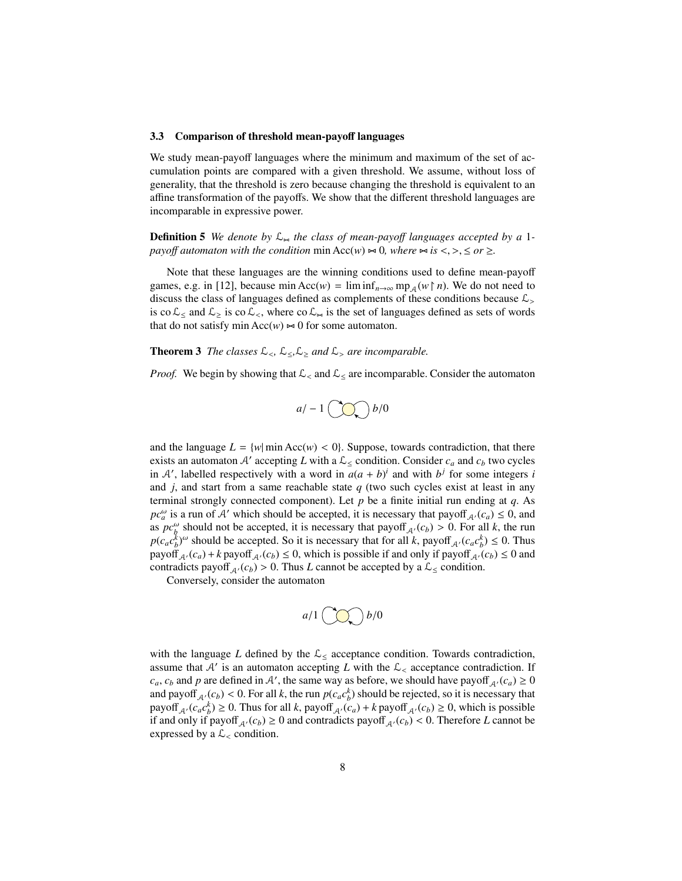#### 3.3 Comparison of threshold mean-payoff languages

We study mean-payoff languages where the minimum and maximum of the set of accumulation points are compared with a given threshold. We assume, without loss of generality, that the threshold is zero because changing the threshold is equivalent to an affine transformation of the payoffs. We show that the different threshold languages are incomparable in expressive power.

**Definition 5** We denote by  $\mathcal{L}_{\bowtie}$  the class of mean-payoff languages accepted by a 1*payoff automaton with the condition* min  $Acc(w) \approx 0$ *, where*  $\approx$  *is* <, >,  $\leq$  *or*  $\geq$ *.* 

Note that these languages are the winning conditions used to define mean-payoff games, e.g. in [12], because min Acc(*w*) =  $\liminf_{n\to\infty} \sup_{A}(w \upharpoonright n)$ . We do not need to discuss the class of languages defined as complements of these conditions because  $\mathcal{L}_>$ is co  $\mathcal{L}_{\leq}$  and  $\mathcal{L}_{\geq}$  is co  $\mathcal{L}_{\leq}$ , where co  $\mathcal{L}_{\bowtie}$  is the set of languages defined as sets of words that do not satisfy min  $Acc(w) \approx 0$  for some automaton.

**Theorem 3** *The classes*  $\mathcal{L}_{\leq}$ ,  $\mathcal{L}_{\leq}$ ,  $\mathcal{L}_{\leq}$ , and  $\mathcal{L}_{\geq}$  *are incomparable.* 

*Proof.* We begin by showing that  $\mathcal{L}_{\leq}$  and  $\mathcal{L}_{\leq}$  are incomparable. Consider the automaton



and the language  $L = \{w | \min Acc(w) < 0\}$ . Suppose, towards contradiction, that there exists an automaton A' accepting L with a  $\mathcal{L}_\leq$  condition. Consider  $c_a$  and  $c_b$  two cycles in A', labelled respectively with a word in  $a(a + b)^i$  and with  $b^j$  for some integers *i* and  $j$ , and start from a same reachable state  $q$  (two such cycles exist at least in any terminal strongly connected component). Let *p* be a finite initial run ending at *q*. As  $pc_a^{\omega}$  is a run of A' which should be accepted, it is necessary that payoff<sub>A'</sub> $(c_a) \le 0$ , and as  $pc_b^{\omega}$  should not be accepted, it is necessary that payoff<sub>A</sub> $($ (*c<sub>b</sub>*) > 0. For all *k*, the run  $p(c, c^k)$   $\omega$  should be accepted. So it is necessary that for all *k*, payoff,  $(c, c^k)$  < 0. Thus  $p(c_a c_b^k)$ (*c*<sub>a</sub>*c*<sup>*k*</sup></sup>)  $\leq$  0. Thus  $p(c_a c_b^k)$ (*c*<sub>a</sub>*c*<sup>*k*</sup>)  $\leq$  0. Thus payoff<sub>A</sub> $(c_a)$  + *k* payoff<sub>A</sub> $(c_b)$  ≤ 0, which is possible if and only if payoff<sub>A</sub> $(c_b)$  ≤ 0 and contradicts payoff<sub>A</sub> $(c_b) > 0$ . Thus *L* cannot be accepted by a  $\mathcal{L}_{\leq}$  condition.

Conversely, consider the automaton



with the language *L* defined by the  $\mathcal{L}_{\leq}$  acceptance condition. Towards contradiction, assume that A' is an automaton accepting *L* with the  $\mathcal{L}_{\leq}$  acceptance contradiction. If  $c_a$ ,  $c_b$  and  $p$  are defined in A', the same way as before, we should have payoff<sub>A'</sub> $(c_a) \ge 0$ and payoff<sub>A</sub> $\iota$ (*c<sub>b</sub>*) < 0. For all *k*, the run  $p(c_a c_b^k)$  should be rejected, so it is necessary that payoff  $(c_a)^k$  > 0. Thus for all *k* payoff  $(c_a)^k$  + *k* payoff  $(c_a)^>0$ , which is possible  $\text{payoff}_{\mathcal{A}}(c_a c_b^k) \ge 0$ . Thus for all *k*,  $\text{payoff}_{\mathcal{A}}(c_a) + k \text{payoff}_{\mathcal{A}}(c_b) \ge 0$ , which is possible if and only if payoff<sub>A'</sub> $(c_b) \ge 0$  and contradicts payoff<sub>A'</sub> $(c_b) < 0$ . Therefore *L* cannot be expressed by a  $\mathcal{L}_{\leq}$  condition.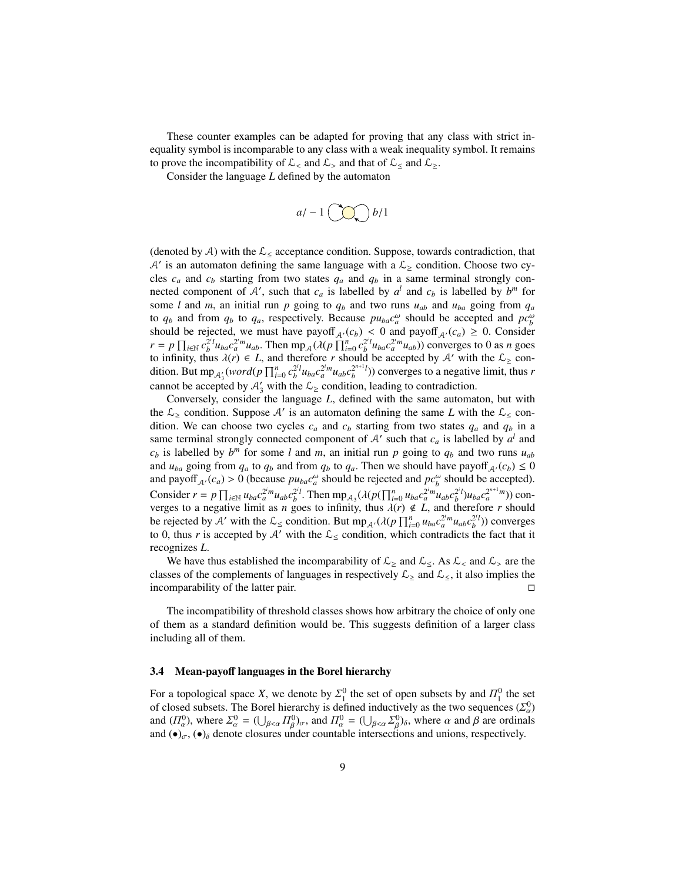These counter examples can be adapted for proving that any class with strict inequality symbol is incomparable to any class with a weak inequality symbol. It remains to prove the incompatibility of  $\mathcal{L}_{\leq}$  and  $\mathcal{L}_{\geq}$  and that of  $\mathcal{L}_{\leq}$  and  $\mathcal{L}_{\geq}$ .

Consider the language *L* defined by the automaton

$$
a/-1\bigcirc\bigcirc b/1
$$

(denoted by A) with the  $\mathcal{L}_{\leq}$  acceptance condition. Suppose, towards contradiction, that A' is an automaton defining the same language with a  $\mathcal{L}_\geq$  condition. Choose two cycles  $c_a$  and  $c_b$  starting from two states  $q_a$  and  $q_b$  in a same terminal strongly connected component of A', such that  $c_a$  is labelled by  $a^l$  and  $c_b$  is labelled by  $b^m$  for some *l* and *m*, an initial run *p* going to  $q_b$  and two runs  $u_{ab}$  and  $u_{ba}$  going from  $q_a$ to  $q_b$  and from  $q_b$  to  $q_a$ , respectively. Because  $pu_{ba}c_a^{\omega}$  should be accepted and  $pc_b^{\omega}$ should be rejected, we must have payoff<sub> $A<sup>i</sup>(c<sub>b</sub>)$  < 0 and payoff<sub> $A<sup>i</sup>(c<sub>a</sub>) \ge 0$ . Consider</sub></sub>  $r = p \prod_{i \in \mathbb{N}} c_B^{2i} u_{ba} c_a^{2i} u_{ab}$ . Then  $\text{mp}_{\mathcal{A}} (\lambda(p) \prod_{i=0}^n c_b^{2i} u_{ba} c_a^{2i} u_{ab})$  converges to 0 as *n* goes to infinity, thus  $\lambda(r) \in L$ , and therefore r should be accepted by A' with the  $\mathcal{L}_\geq$  condition. But mp<sub>A's</sub> (*word*( $p \prod_{i=0}^{n} c_b^{2^i} u_{ba} c_a^{2^i m} u_{ab} c_b^{2^{n+1}l}$ )) converges to a negative limit, thus r cannot be accepted by  $A'_3$  with the  $\mathcal{L}_\geq$  condition, leading to contradiction.

Conversely, consider the language *L*, defined with the same automaton, but with the  $\mathcal{L}_\geq$  condition. Suppose A' is an automaton defining the same L with the  $\mathcal{L}_\leq$  condition. We can choose two cycles  $c_a$  and  $c_b$  starting from two states  $q_a$  and  $q_b$  in a same terminal strongly connected component of  $A'$  such that  $c_a$  is labelled by  $a^l$  and  $c_b$  is labelled by  $b^m$  for some *l* and *m*, an initial run *p* going to  $q_b$  and two runs  $u_{ab}$ and  $u_{ba}$  going from  $q_a$  to  $q_b$  and from  $q_b$  to  $q_a$ . Then we should have payoff<sub>A</sub> $(c_b) \le 0$ and payoff<sub>A</sub><sub>1</sub>(*c<sub>a</sub>*) > 0 (because  $pu_{ba}c_a^{\omega}$  should be rejected and  $pc_b^{\omega}$  should be accepted). Consider  $r = p \prod_{i \in \mathbb{N}} u_{ba} c_2^{2^i m} u_{ab} c_2^{2^i l}$ . Then  $m p_{A_3} (\lambda (p) \prod_{i=0}^n u_{ba} c_2^{2^i m} u_{ab} c_2^{2^i l}) u_{ba} c_a^{2^{n+1} m})$  converges to a negative limit as *n* goes to infinity, thus  $\lambda(r) \notin L$ , and therefore *r* should<br>be rejected by  $A'$  with the  $\int_{\mathbb{R}^n}$  condition. But mp.  $(A(n \Pi^n, u, e^{2i\eta}u, e^{2i\eta}))$  converges be rejected by A' with the  $\mathcal{L}_{\leq}$  condition. But  $\text{mp}_{\mathcal{A}}$ ,  $(\lambda(p\prod_{i=0}^{n}\mu_{ba}c_a^{2^{i}m}u_{ab}c_b^{2^{i}l}))$  converges to 0, thus *r* is accepted by  $A'$  with the  $\mathcal{L}_{\leq}$  condition, which contradicts the fact that it recognizes *L*.

We have thus established the incomparability of  $\mathcal{L}_\geq$  and  $\mathcal{L}_\leq$ . As  $\mathcal{L}_\leq$  and  $\mathcal{L}_>$  are the classes of the complements of languages in respectively  $\mathcal{L}_\geq$  and  $\mathcal{L}_\leq$ , it also implies the  $\Box$  incomparability of the latter pair.  $\Box$ 

The incompatibility of threshold classes shows how arbitrary the choice of only one of them as a standard definition would be. This suggests definition of a larger class including all of them.

#### 3.4 Mean-payoff languages in the Borel hierarchy

For a topological space *X*, we denote by  $\Sigma_1^0$  the set of open subsets by and  $\Pi_1^0$  the set of closed subsets. The Borel hierarchy is defined inductively as the two sequences  $(\Sigma^0)$ of closed subsets. The Borel hierarchy is defined inductively as the two sequences  $(\Sigma_q^0)$ <br>and  $(\Pi^0)$ , where  $\Sigma^0 = (|\cdot|_q, \Pi^0)$  and  $\Pi^0 = (|\cdot|_q, \Pi^0)$ , where  $\alpha$  and  $\beta$  are ordinals and  $(\Pi_{\alpha}^{0})$ , where  $\Sigma_{\alpha}^{0} = (\bigcup_{\beta \leq \alpha} \Pi_{\beta}^{0})_{\sigma}$ , and  $\Pi_{\alpha}^{0} = (\bigcup_{\beta \leq \alpha} \Sigma_{\beta}^{0})_{\delta}$ , where  $\alpha$  and  $\beta$  are ordinals and  $(\bullet)_\sigma$ ,  $(\bullet)_\delta$  denote closures under countable intersections and unions, respectively.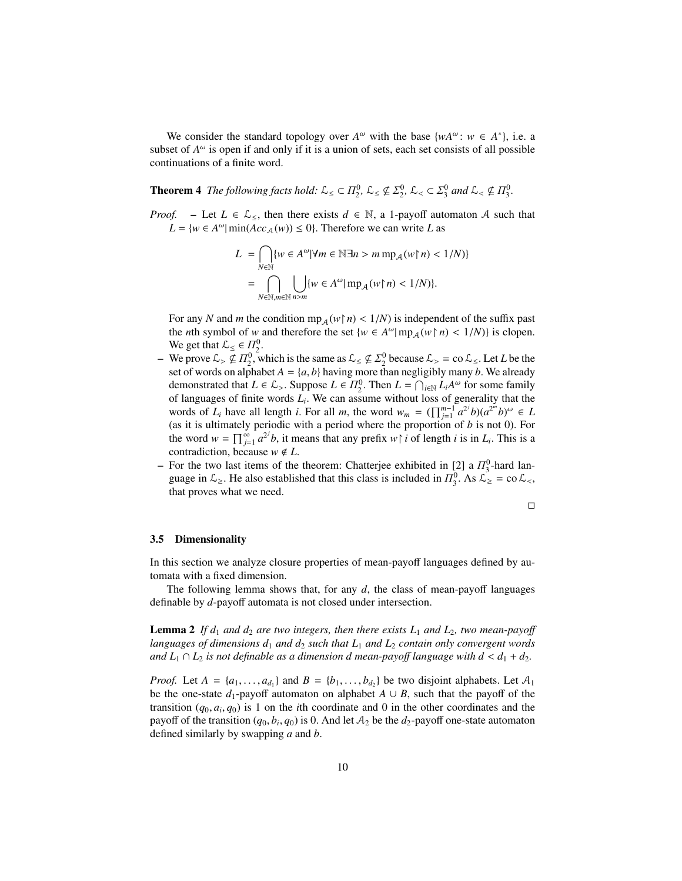We consider the standard topology over  $A^{\omega}$  with the base { $wA^{\omega}$ :  $w \in A^*$ }, i.e. a subset of  $A^{\omega}$  is open if and only if it is a union of sets, each set consists of all possible continuations of a finite word.

**Theorem 4** The following facts hold:  $\mathcal{L}_{\leq} \subset \Pi_2^0$ ,  $\mathcal{L}_{\leq} \nsubseteq \Sigma_2^0$ ,  $\mathcal{L}_{\leq} \subset \Sigma_3^0$  and  $\mathcal{L}_{\leq} \nsubseteq \Pi_3^0$ .

*Proof.* – Let  $L \in \mathcal{L}_{\leq}$ , then there exists  $d \in \mathbb{N}$ , a 1-payoff automaton A such that  $L = \{w \in A^{\omega} | \min(Acc_A(w)) \le 0\}$ . Therefore we can write *L* as

$$
L = \bigcap_{N \in \mathbb{N}} \{ w \in A^{\omega} | \forall m \in \mathbb{N} \exists n > m \operatorname{mp}_{\mathcal{A}} (w \upharpoonright n) < 1/N \}
$$
  
= 
$$
\bigcap_{N \in \mathbb{N}, m \in \mathbb{N}} \bigcup_{n > m} \{ w \in A^{\omega} | \operatorname{mp}_{\mathcal{A}} (w \upharpoonright n) < 1/N \}.
$$

For any *N* and *m* the condition mp<sub>A</sub>( $w \nmid n$ ) < 1/*N*) is independent of the suffix past the *n*th symbol of *w* and therefore the set  $\{w \in A^{\omega} | \text{mp}_{A}(w \upharpoonright n) < 1/N\}$  is clopen.<br>We get that  $\int_{A} \in \Pi^{0}$ We get that  $\mathcal{L}_{\leq} \in \Pi_2^0$ .<br>We prove  $\int_{\mathcal{L}} d\pi \Pi_2^0$ 

- We prove  $\mathcal{L}_> \nsubseteq \Pi_2^0$ , which is the same as  $\mathcal{L}_\leq \nsubseteq \mathcal{L}_2^0$  because  $\mathcal{L}_> = \text{co }\mathcal{L}_\leq$ . Let *L* be the set of words on alphabet  $A = \{a, b\}$  baying more than negligibly many *b*. We already set of words on alphabet  $A = \{a, b\}$  having more than negligibly many *b*. We already demonstrated that  $L \in \mathcal{L}_{>}$ . Suppose  $L \in \Pi_2^0$ . Then  $L = \bigcap_{i \in \mathbb{N}} L_i A^\omega$  for some family of languages of finite words *L*. We can assume without loss of generality that the of languages of finite words *L<sup>i</sup>* . We can assume without loss of generality that the words of  $L_i$  have all length *i*. For all *m*, the word  $w_m = (\prod_{j=1}^{m-1} a^{2j}b)(a^{2m}b)^{\omega} \in L$ (as it is ultimately periodic with a period where the proportion of *b* is not 0). For the word  $w = \prod_{j=1}^{\infty} a^{2j} b$ , it means that any prefix  $w \upharpoonright i$  of length *i* is in  $L_i$ . This is a contradiction, because  $w \notin L$ .
- For the two last items of the theorem: Chatterjee exhibited in [2] a  $\Pi_3^0$ -hard lan-<br>guage in  $f_{\rm e}$ . He also established that this class is included in  $\Pi^0$ . As  $f_{\rm e} = \cos f$ . guage in  $\mathcal{L}_\ge$ . He also established that this class is included in  $\Pi_3^0$ . As  $\mathcal{L}_\geq = \cos \mathcal{L}_\leq$ , that proves what we need that proves what we need.

$$
\Box
$$

#### 3.5 Dimensionality

In this section we analyze closure properties of mean-payoff languages defined by automata with a fixed dimension.

The following lemma shows that, for any *d*, the class of mean-payoff languages definable by *d*-payoff automata is not closed under intersection.

**Lemma 2** If  $d_1$  *and*  $d_2$  *are two integers, then there exists*  $L_1$  *and*  $L_2$ *, two mean-payoff languages of dimensions d*<sup>1</sup> *and d*<sup>2</sup> *such that L*<sup>1</sup> *and L*<sup>2</sup> *contain only convergent words and*  $L_1 \cap L_2$  *is not definable as a dimension d mean-payoff language with*  $d < d_1 + d_2$ *.* 

*Proof.* Let  $A = \{a_1, \ldots, a_{d_1}\}$  and  $B = \{b_1, \ldots, b_{d_2}\}$  be two disjoint alphabets. Let  $A_1$  be the one-state  $d_1$ -payoff automator on alphabet  $A \cup B$  such that the payoff of the be the one-state  $d_1$ -payoff automaton on alphabet  $A \cup B$ , such that the payoff of the transition  $(q_0, a_i, q_0)$  is 1 on the *i*th coordinate and 0 in the other coordinates and the powerf of the transition  $(a_0, b_1, a_0)$  is 0. And let  $a_0$  be the  $d_0$ -payoff one-state automator payoff of the transition  $(q_0, b_i, q_0)$  is 0. And let  $A_2$  be the  $d_2$ -payoff one-state automaton<br>defined similarly by swapping *a* and *b* defined similarly by swapping *a* and *b*.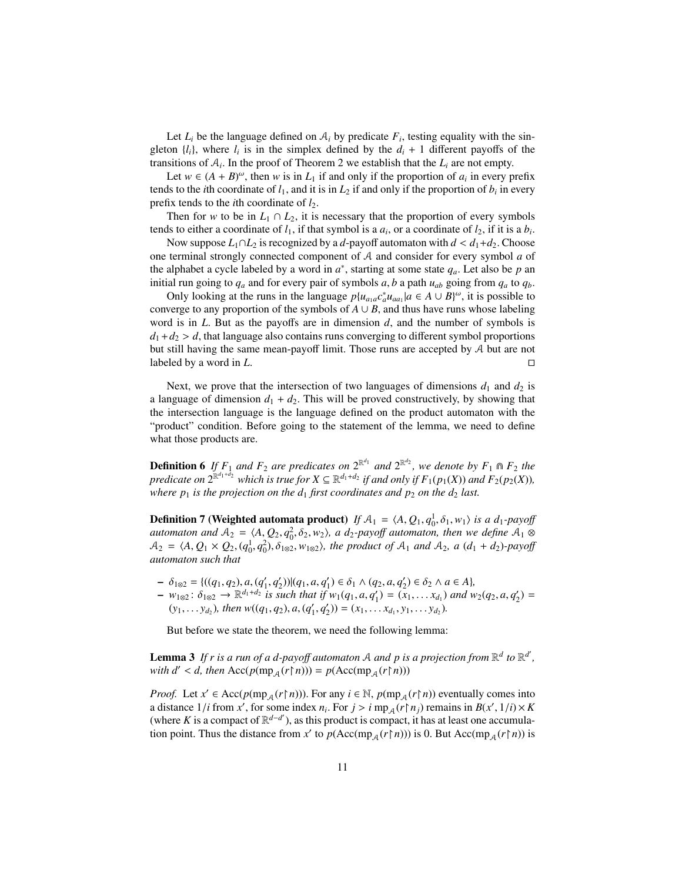Let  $L_i$  be the language defined on  $A_i$  by predicate  $F_i$ , testing equality with the singleton  $\{l_i\}$ , where  $l_i$  is in the simplex defined by the  $d_i + 1$  different payoffs of the transitions of A*<sup>i</sup>* . In the proof of Theorem 2 we establish that the *L<sup>i</sup>* are not empty.

Let  $w \in (A + B)^{\omega}$ , then *w* is in *L*<sub>1</sub> if and only if the proportion of *a<sub>i</sub>* in every prefix tends to the *i*th coordinate of  $l_1$ , and it is in  $L_2$  if and only if the proportion of  $b_i$  in every prefix tends to the *i*th coordinate of  $l_2$ .

Then for *w* to be in  $L_1 \cap L_2$ , it is necessary that the proportion of every symbols tends to either a coordinate of  $l_1$ , if that symbol is a  $a_i$ , or a coordinate of  $l_2$ , if it is a  $b_i$ .

Now suppose  $L_1 \cap L_2$  is recognized by a *d*-payoff automaton with  $d < d_1+d_2$ . Choose one terminal strongly connected component of A and consider for every symbol *a* of the alphabet a cycle labeled by a word in  $a^*$ , starting at some state  $q_a$ . Let also be p an initial run going to  $q_a$  and for every pair of symbols  $a, b$  a path  $u_{ab}$  going from  $q_a$  to  $q_b$ .

Only looking at the runs in the language  $p\{u_{a_1}a c_a^* u_{a a_1}|a \in A \cup B\}^\omega$ , it is possible to converge to any proportion of the symbols of  $A \cup B$ , and thus have runs whose labeling word is in *L*. But as the payoffs are in dimension *d*, and the number of symbols is  $d_1 + d_2 > d$ , that language also contains runs converging to different symbol proportions but still having the same mean-payoff limit. Those runs are accepted by A but are not labeled by a word in  $L$ .

Next, we prove that the intersection of two languages of dimensions  $d_1$  and  $d_2$  is a language of dimension  $d_1 + d_2$ . This will be proved constructively, by showing that the intersection language is the language defined on the product automaton with the "product" condition. Before going to the statement of the lemma, we need to define what those products are.

**Definition 6** If  $F_1$  and  $F_2$  are predicates on  $2^{\mathbb{R}^{d_1}}$  and  $2^{\mathbb{R}^{d_2}}$ , we denote by  $F_1 \cap F_2$  the *predicate on*  $2^{\mathbb{R}^{d_1+d_2}}$  *which is true for*  $X \subseteq \mathbb{R}^{d_1+d_2}$  *if and only if*  $F_1(p_1(X))$  *and*  $F_2(p_2(X))$ *, where*  $p_1$  *is the projection on the*  $d_1$  *first coordinates and*  $p_2$  *on the*  $d_2$  *last.* 

**Definition 7 (Weighted automata product)** *If*  $A_1 = \langle A, Q_1, q_0^1, \delta_1, w_1 \rangle$  *is a d*<sub>1</sub>*-payoff automaton and*  $A_2 = \langle A, Q_2, q_1^2, \delta_2, w_2 \rangle$  *a d*<sub>2</sub>*-payoff automaton, then we define*  $A_1 \otimes$ *automaton and*  $A_2 = \langle A, Q_2, q_0^2, \delta_2, w_2 \rangle$ , a  $d_2$ -payoff *automaton, then we define*  $A_1 \otimes A_2 = \langle A, Q_1 \times Q_2, (q_1^1, q_2^2), \delta_2 \times w_1 \times \rangle$ , the product of  $A_2$  and  $A_2$  a  $(d_1 + d_2)$ -payoff  $A_2 = \langle A, Q_1 \times Q_2, (q_0^1, q_0^2), \delta_{1\otimes 2}, w_{1\otimes 2} \rangle$ , the product of  $A_1$  and  $A_2$ , a  $(d_1 + d_2)$ *-payoff* automator such that *automaton such that*

- $\delta_{1\otimes 2} = \{((q_1, q_2), a, (q'_1, q'_2)) | (q_1, a, q'_1) \in \delta_1 \land (q_2, a, q'_2) \in \delta_2 \land a \in A\}$ <br>  $W_1(x; \delta_1, \delta_2) \rightarrow W_1(x; \delta_1, \delta_2)$  is such that if  $W_2(a, a, a'_2) = (x, x_1)$  and  $w_1(x; \delta_1, \delta_2)$
- $w_{1 ⊗ 2}$ : δ<sub>1⊗2</sub> → R<sup>*d*<sub>1</sub>+*d*<sub>2</sub></sub> *is such that if*  $w_1(q_1, a, q'_1) = (x_1, \ldots, x_d)$  *and*  $w_2(q_2, a, q'_2) =$ <br>
(*y*<sub>2</sub> *y*<sub>2</sub>) *then*  $w((a_1, a_2) \cdot a(q', a')) = (x_1, y_2, y_3)$ </sup>  $(y_1, \ldots, y_{d_2})$ , then  $w((q_1, q_2), a, (q'_1, q'_2)) = (x_1, \ldots, x_{d_1}, y_1, \ldots, y_{d_2})$ .

But before we state the theorem, we need the following lemma:

**Lemma 3** If r is a run of a d-payoff automaton A and p is a projection from  $\mathbb{R}^d$  to  $\mathbb{R}^d$ <sup>'</sup>, *with d'* < *d, then*  $Acc(p(mp_A(r\uparrow n))) = p(Acc(mp_A(r\uparrow n)))$ 

*Proof.* Let  $x' \in Acc(p(mp_A(r\upharpoonright n)))$ . For any  $i \in \mathbb{N}$ ,  $p(mp_A(r\upharpoonright n))$  eventually comes into a distance  $1/i$  from *x*<sup>*i*</sup>, for some index *n<sub>i</sub>*. For  $j > i$  mp<sub>A</sub>(*r\rn*<sub>*j*</sub>) remains in  $B(x', 1/i) \times K$ <br>(where *K* is a compact of  $\mathbb{R}^{d-d'}$ ) as this product is compact, it has at least one accumula-(where *K* is a compact of  $\mathbb{R}^{d-d'}$ ), as this product is compact, it has at least one accumulation point. Thus the distance from *x'* to  $p(\text{Acc}(mp_A(r\upharpoonright n)))$  is 0. But  $\text{Acc}(mp_A(r\upharpoonright n))$  is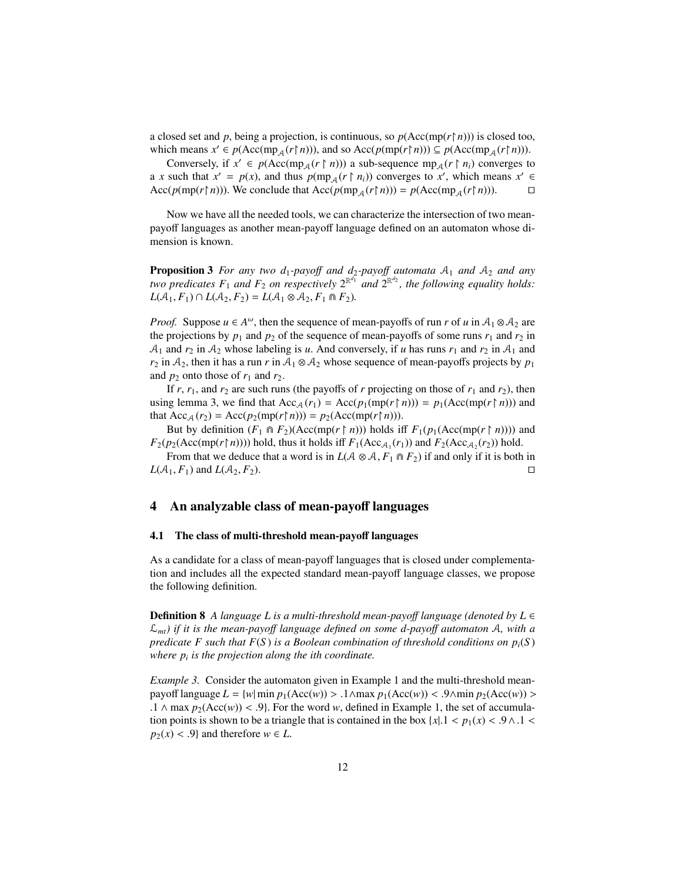a closed set and *p*, being a projection, is continuous, so  $p(\text{Acc}(mp(r \mid n)))$  is closed too, which means  $x' \in p(\text{Acc}(mp_A(r \upharpoonright n)))$ , and so  $\text{Acc}(p(mp(r \upharpoonright n))) \subseteq p(\text{Acc}(mp_A(r \upharpoonright n)))$ .

Conversely, if  $x' \in p(\text{Acc}(mp_A(r \upharpoonright n)))$  a sub-sequence  $mp_A(r \upharpoonright n_i)$  converges to a *x* such that  $x' = p(x)$ , and thus  $p(\text{mp}_{\mathcal{A}}(r \upharpoonright n_i))$  converges to  $x'$ , which means  $x' \in$ Acc( $p(\text{mp}(r \mid n))$ ). We conclude that  $Acc(p(\text{mp}_A(r \mid n))) = p(Acc(\text{mp}_A(r \mid n)))$ .  $\Box$ 

Now we have all the needed tools, we can characterize the intersection of two meanpayoff languages as another mean-payoff language defined on an automaton whose dimension is known.

**Proposition 3** For any two  $d_1$ -payoff and  $d_2$ -payoff automata  $A_1$  and  $A_2$  and any two predicates  $F_1$  and  $F_2$  on respectively  $2^{\mathbb{R}^{d_1}}$  and  $2^{\mathbb{R}^{d_2}}$ , the following equality holds:  $L(A_1, F_1) \cap L(A_2, F_2) = L(A_1 \otimes A_2, F_1 \cap F_2).$ 

*Proof.* Suppose  $u \in A^{\omega}$ , then the sequence of mean-payoffs of run *r* of *u* in  $A_1 \otimes A_2$  are the projections by  $p_1$  and  $p_2$  of the sequence of mean-payoffs of some runs  $r_1$  and  $r_2$  in  $A_1$  and  $r_2$  in  $A_2$  whose labeling is *u*. And conversely, if *u* has runs  $r_1$  and  $r_2$  in  $A_1$  and  $r_2$  in  $A_2$ , then it has a run *r* in  $A_1 \otimes A_2$  whose sequence of mean-payoffs projects by  $p_1$ and  $p_2$  onto those of  $r_1$  and  $r_2$ .

If  $r$ ,  $r_1$ , and  $r_2$  are such runs (the payoffs of  $r$  projecting on those of  $r_1$  and  $r_2$ ), then using lemma 3, we find that  $Acc_A(r_1) = Acc(p_1(mp(r \uparrow n))) = p_1(Acc(mp(r \uparrow n)))$  and that  $Acc_A(r_2) = Acc(p_2(mp(r \uparrow n))) = p_2(Acc(mp(r \uparrow n))).$ 

But by definition  $(F_1 \cap F_2)(\text{Acc}(mp(r \upharpoonright n)))$  holds iff  $F_1(p_1(\text{Acc}(mp(r \upharpoonright n))))$  and  $F_2(p_2(Acc(mp(r\uparrow n))))$  hold, thus it holds iff  $F_1(Acc_{A_1}(r_1))$  and  $F_2(Acc_{A_2}(r_2))$  hold.

From that we deduce that a word is in  $L(A \otimes A, F_1 \cap F_2)$  if and only if it is both in  $F_1$ ,  $F_2$ ) and  $L(A_2, F_2)$  $L(A_1, F_1)$  and  $L(A_2, F_2)$ .

#### 4 An analyzable class of mean-payoff languages

#### 4.1 The class of multi-threshold mean-payoff languages

As a candidate for a class of mean-payoff languages that is closed under complementation and includes all the expected standard mean-payoff language classes, we propose the following definition.

Definition 8 *A language L is a multi-threshold mean-payo*ff *language (denoted by L* ∈ L*mt) if it is the mean-payo*ff *language defined on some d-payo*ff *automaton* A*, with a predicate F such that*  $F(S)$  *is a Boolean combination of threshold conditions on*  $p_i(S)$ *where p<sup>i</sup> is the projection along the ith coordinate.*

*Example 3.* Consider the automaton given in Example 1 and the multi-threshold meanpayoff language  $L = \{w | \min p_1(\text{Acc}(w)) > 0.1 \land \max p_1(\text{Acc}(w)) < 0.9 \land \min p_2(\text{Acc}(w)) > 0.9 \land \min p_2(\text{Acc}(w)) > 0.9 \land \min p_2(\text{Acc}(w)) > 0.9 \land \min p_2(\text{Acc}(w)) > 0.9 \land \min p_2(\text{Acc}(w)) > 0.9 \land \min p_2(\text{Acc}(w)) > 0.9 \land \min p_2(\text{Acc}(w)) > 0.9 \land \min p_2(\text{Acc}(w)) > 0.9 \land \min p_2(\text{$ .1 ∧ max  $p_2(Acc(w)) < .9$ . For the word *w*, defined in Example 1, the set of accumulation points is shown to be a triangle that is contained in the box  ${x | .1 < p_1(x) < .9 \land .1}$  $p_2(x) < .9$ } and therefore  $w \in L$ .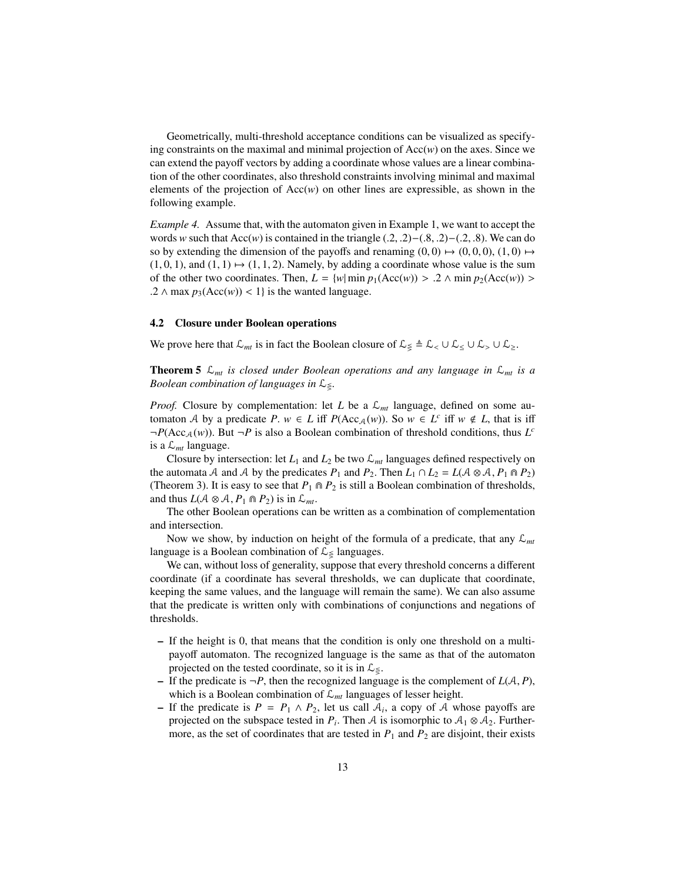Geometrically, multi-threshold acceptance conditions can be visualized as specifying constraints on the maximal and minimal projection of  $Acc(w)$  on the axes. Since we can extend the payoff vectors by adding a coordinate whose values are a linear combination of the other coordinates, also threshold constraints involving minimal and maximal elements of the projection of Acc(*w*) on other lines are expressible, as shown in the following example.

*Example 4.* Assume that, with the automaton given in Example 1, we want to accept the words *<sup>w</sup>* such that Acc(*w*) is contained in the triangle (.2, .2)−(.8, .2)−(.2, .8). We can do so by extending the dimension of the payoffs and renaming  $(0, 0) \mapsto (0, 0, 0), (1, 0) \mapsto$  $(1, 0, 1)$ , and  $(1, 1) \mapsto (1, 1, 2)$ . Namely, by adding a coordinate whose value is the sum of the other two coordinates. Then,  $L = \{w | \min p_1(\text{Acc}(w)) > .2 \land \min p_2(\text{Acc}(w)) > .2 \}$ .2 ∧ max  $p_3(Acc(w))$  < 1} is the wanted language.

#### 4.2 Closure under Boolean operations

We prove here that  $\mathcal{L}_{mt}$  is in fact the Boolean closure of  $\mathcal{L}_{\leq \frac{4}{3}} \mathcal{L}_{\leq \frac{1}{3}} \cup \mathcal{L}_{\leq \frac{1}{3}} \cup \mathcal{L}_{\geq \frac{1}{3}}$ .

**Theorem 5**  $\mathcal{L}_{mt}$  *is closed under Boolean operations and any language in*  $\mathcal{L}_{mt}$  *is a Boolean combination of languages in*  $\mathcal{L}_{\leq}$ .

*Proof.* Closure by complementation: let *L* be a  $\mathcal{L}_{mt}$  language, defined on some automaton A by a predicate P.  $w \in L$  iff  $P(\text{Acc}_{\mathcal{A}}(w))$ . So  $w \in L^c$  iff  $w \notin L$ , that is iff  $\neg P(\text{Acc}_{\mathcal{A}}(w))$ . But  $\neg P$  is also a Boolean combination of threshold conditions, thus  $L^c$ is a  $\mathcal{L}_{mt}$  language.

Closure by intersection: let  $L_1$  and  $L_2$  be two  $\mathcal{L}_{mt}$  languages defined respectively on the automata A and A by the predicates  $P_1$  and  $P_2$ . Then  $L_1 \cap L_2 = L(A \otimes A, P_1 \cap P_2)$ (Theorem 3). It is easy to see that  $P_1 \cap P_2$  is still a Boolean combination of thresholds, and thus  $L(A \otimes A, P_1 \cap P_2)$  is in  $\mathcal{L}_{mt}$ .

The other Boolean operations can be written as a combination of complementation and intersection.

Now we show, by induction on height of the formula of a predicate, that any  $\mathcal{L}_{mt}$ language is a Boolean combination of  $\mathcal{L}_{\leq}$  languages.

We can, without loss of generality, suppose that every threshold concerns a different coordinate (if a coordinate has several thresholds, we can duplicate that coordinate, keeping the same values, and the language will remain the same). We can also assume that the predicate is written only with combinations of conjunctions and negations of thresholds.

- If the height is 0, that means that the condition is only one threshold on a multipayoff automaton. The recognized language is the same as that of the automaton projected on the tested coordinate, so it is in  $\mathcal{L}_\leq$ .
- If the predicate is  $\neg P$ , then the recognized language is the complement of  $L(A, P)$ , which is a Boolean combination of  $\mathcal{L}_{mt}$  languages of lesser height.
- $-$  If the predicate is  $P = P_1 \wedge P_2$ , let us call  $A_i$ , a copy of  $A$  whose payoffs are projected on the subspace tested in  $P_i$ . Then A is isomorphic to  $A_1 \otimes A_2$ . Furthermore, as the set of coordinates that are tested in  $P_1$  and  $P_2$  are disjoint, their exists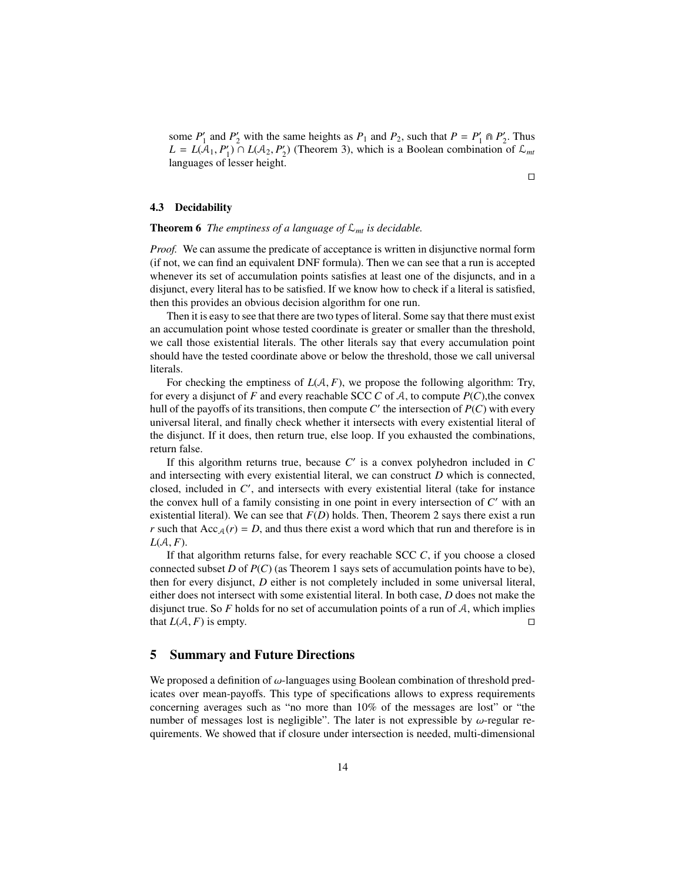some  $P'_1$  and  $P'_2$  with the same heights as  $P_1$  and  $P_2$ , such that  $P = P'_1 \cap P'_2$ . Thus  $L = L(\mathcal{A}_1, P'_1) \cap L(\mathcal{A}_2, P'_2)$  (Theorem 3), which is a Boolean combination of  $\mathcal{L}_{mt}$ languages of lesser height.

4.3 Decidability

#### **Theorem 6** *The emptiness of a language of*  $\mathcal{L}_{mt}$  *is decidable.*

*Proof.* We can assume the predicate of acceptance is written in disjunctive normal form (if not, we can find an equivalent DNF formula). Then we can see that a run is accepted whenever its set of accumulation points satisfies at least one of the disjuncts, and in a disjunct, every literal has to be satisfied. If we know how to check if a literal is satisfied, then this provides an obvious decision algorithm for one run.

Then it is easy to see that there are two types of literal. Some say that there must exist an accumulation point whose tested coordinate is greater or smaller than the threshold, we call those existential literals. The other literals say that every accumulation point should have the tested coordinate above or below the threshold, those we call universal literals.

For checking the emptiness of  $L(A, F)$ , we propose the following algorithm: Try, for every a disjunct of F and every reachable SCC C of A, to compute  $P(C)$ , the convex hull of the payoffs of its transitions, then compute  $C'$  the intersection of  $P(C)$  with every universal literal, and finally check whether it intersects with every existential literal of the disjunct. If it does, then return true, else loop. If you exhausted the combinations, return false.

If this algorithm returns true, because  $C'$  is a convex polyhedron included in  $C$ and intersecting with every existential literal, we can construct *D* which is connected, closed, included in C', and intersects with every existential literal (take for instance the convex hull of a family consisting in one point in every intersection of  $C'$  with an existential literal). We can see that  $F(D)$  holds. Then, Theorem 2 says there exist a run *r* such that Acc<sub>A</sub>(*r*) = *D*, and thus there exist a word which that run and therefore is in  $L(A, F)$ .

If that algorithm returns false, for every reachable SCC *C*, if you choose a closed connected subset *D* of *P*(*C*) (as Theorem 1 says sets of accumulation points have to be), then for every disjunct, *D* either is not completely included in some universal literal, either does not intersect with some existential literal. In both case, *D* does not make the disjunct true. So  $F$  holds for no set of accumulation points of a run of  $A$ , which implies that  $L(A, F)$  is empty.

#### 5 Summary and Future Directions

We proposed a definition of  $\omega$ -languages using Boolean combination of threshold predicates over mean-payoffs. This type of specifications allows to express requirements concerning averages such as "no more than 10% of the messages are lost" or "the number of messages lost is negligible". The later is not expressible by  $\omega$ -regular requirements. We showed that if closure under intersection is needed, multi-dimensional

 $\Box$